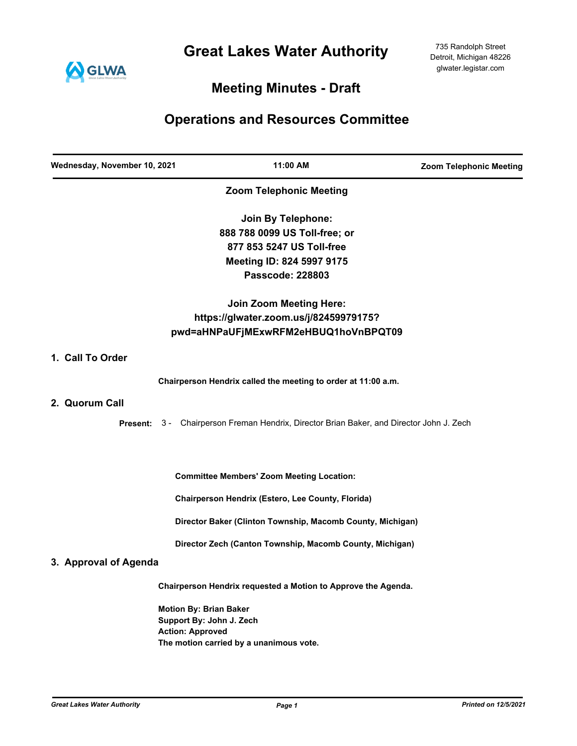**Great Lakes Water Authority**



## **Meeting Minutes - Draft**

# **Operations and Resources Committee**

| Wednesday, November 10, 2021 | 11:00 AM                                                                                 | <b>Zoom Telephonic Meeting</b> |
|------------------------------|------------------------------------------------------------------------------------------|--------------------------------|
|                              | <b>Zoom Telephonic Meeting</b>                                                           |                                |
|                              | Join By Telephone:                                                                       |                                |
|                              | 888 788 0099 US Toll-free; or                                                            |                                |
|                              | 877 853 5247 US Toll-free                                                                |                                |
|                              | Meeting ID: 824 5997 9175                                                                |                                |
|                              | Passcode: 228803                                                                         |                                |
|                              | <b>Join Zoom Meeting Here:</b>                                                           |                                |
|                              | https://glwater.zoom.us/j/82459979175?                                                   |                                |
|                              | pwd=aHNPaUFjMExwRFM2eHBUQ1hoVnBPQT09                                                     |                                |
| 1. Call To Order             |                                                                                          |                                |
|                              | Chairperson Hendrix called the meeting to order at 11:00 a.m.                            |                                |
| 2. Quorum Call               |                                                                                          |                                |
|                              | Present: 3 - Chairperson Freman Hendrix, Director Brian Baker, and Director John J. Zech |                                |
|                              | <b>Committee Members' Zoom Meeting Location:</b>                                         |                                |
|                              | Chairperson Hendrix (Estero, Lee County, Florida)                                        |                                |
|                              | Director Baker (Clinton Township, Macomb County, Michigan)                               |                                |
|                              | Director Zech (Canton Township, Macomb County, Michigan)                                 |                                |
| 3. Approval of Agenda        |                                                                                          |                                |
|                              | Chairperson Hendrix requested a Motion to Approve the Agenda.                            |                                |
|                              | <b>Motion By: Brian Baker</b>                                                            |                                |
|                              | Support By: John J. Zech                                                                 |                                |
|                              | <b>Action: Approved</b>                                                                  |                                |
|                              | The motion carried by a unanimous vote.                                                  |                                |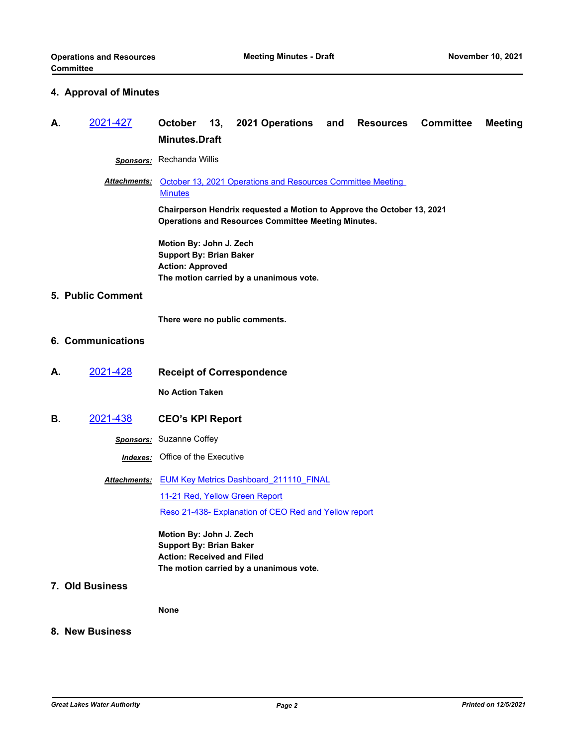#### **4. Approval of Minutes**

### **A.** [2021-427](http://glwater.legistar.com/gateway.aspx?m=l&id=/matter.aspx?key=4764) **October 13, 2021 Operations and Resources Committee Meeting Minutes.Draft**

*Sponsors:* Rechanda Willis

#### Attachments: October 13, 2021 Operations and Resources Committee Meeting **Minutes**

**Chairperson Hendrix requested a Motion to Approve the October 13, 2021 Operations and Resources Committee Meeting Minutes.**

**Motion By: John J. Zech Support By: Brian Baker Action: Approved The motion carried by a unanimous vote.**

#### **5. Public Comment**

**There were no public comments.**

#### **6. Communications**

**A.** [2021-428](http://glwater.legistar.com/gateway.aspx?m=l&id=/matter.aspx?key=4765) **Receipt of Correspondence**

**No Action Taken**

**B.** [2021-438](http://glwater.legistar.com/gateway.aspx?m=l&id=/matter.aspx?key=4775) **CEO's KPI Report**

*Sponsors:* Suzanne Coffey

*Indexes:* Office of the Executive

Attachments: EUM Key Metrics Dashboard 211110 FINAL [11-21 Red, Yellow Green Report](http://glwater.legistar.com/gateway.aspx?M=F&ID=a49784d9-3b04-4758-9e2e-8699a834be7d.xlsx)

[Reso 21-438- Explanation of CEO Red and Yellow report](http://glwater.legistar.com/gateway.aspx?M=F&ID=f4613ea9-b689-4218-8694-33c83e86071b.docx)

**Motion By: John J. Zech Support By: Brian Baker Action: Received and Filed The motion carried by a unanimous vote.**

**7. Old Business**

**None**

#### **8. New Business**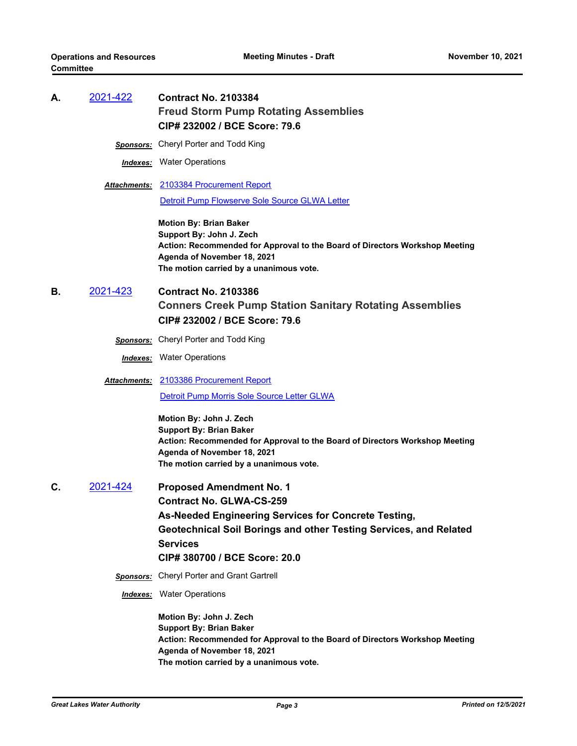## **A.** [2021-422](http://glwater.legistar.com/gateway.aspx?m=l&id=/matter.aspx?key=4759) **Contract No. 2103384 Freud Storm Pump Rotating Assemblies CIP# 232002 / BCE Score: 79.6**

*Sponsors:* Cheryl Porter and Todd King

*Indexes:* Water Operations

[2103384 Procurement Report](http://glwater.legistar.com/gateway.aspx?M=F&ID=6767fc89-6d81-43ad-86a3-eef12005358a.docx) *Attachments:* [Detroit Pump Flowserve Sole Source GLWA Letter](http://glwater.legistar.com/gateway.aspx?M=F&ID=46896513-84fc-4b0c-9d71-5ebd55d7e68f.pdf)

> **Motion By: Brian Baker Support By: John J. Zech Action: Recommended for Approval to the Board of Directors Workshop Meeting Agenda of November 18, 2021 The motion carried by a unanimous vote.**

- **B.** [2021-423](http://glwater.legistar.com/gateway.aspx?m=l&id=/matter.aspx?key=4760) **Contract No. 2103386 Conners Creek Pump Station Sanitary Rotating Assemblies CIP# 232002 / BCE Score: 79.6**
	- *Sponsors:* Cheryl Porter and Todd King

*Indexes:* Water Operations

[2103386 Procurement Report](http://glwater.legistar.com/gateway.aspx?M=F&ID=ec901804-1cb9-4f43-8c10-56b1c4a1a75d.docx) *Attachments:*

[Detroit Pump Morris Sole Source Letter GLWA](http://glwater.legistar.com/gateway.aspx?M=F&ID=190a477f-6820-4e2f-939a-48b05d54672e.pdf)

**Motion By: John J. Zech Support By: Brian Baker Action: Recommended for Approval to the Board of Directors Workshop Meeting Agenda of November 18, 2021 The motion carried by a unanimous vote.**

**C.** [2021-424](http://glwater.legistar.com/gateway.aspx?m=l&id=/matter.aspx?key=4761) **Proposed Amendment No. 1 Contract No. GLWA-CS-259 As-Needed Engineering Services for Concrete Testing, Geotechnical Soil Borings and other Testing Services, and Related Services CIP# 380700 / BCE Score: 20.0** *Sponsors:* Cheryl Porter and Grant Gartrell *Indexes:* Water Operations

> **Motion By: John J. Zech Support By: Brian Baker Action: Recommended for Approval to the Board of Directors Workshop Meeting Agenda of November 18, 2021 The motion carried by a unanimous vote.**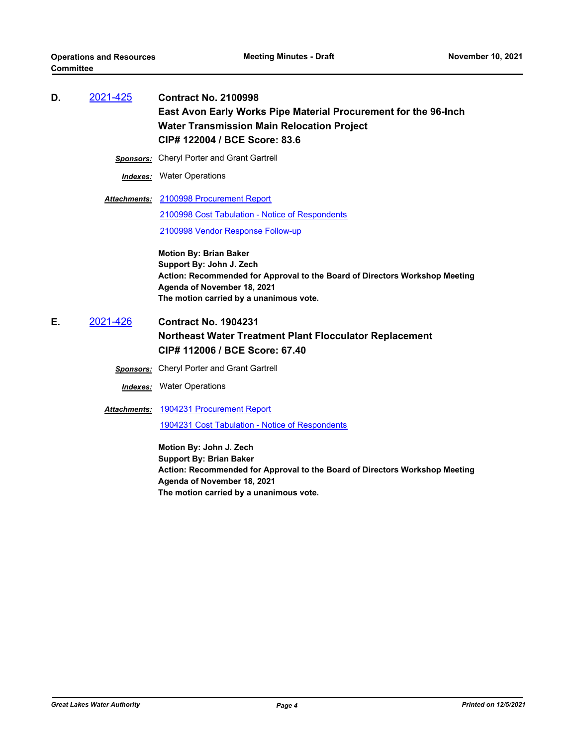| D. | 2021-425         | <b>Contract No. 2100998</b><br>East Avon Early Works Pipe Material Procurement for the 96-Inch<br><b>Water Transmission Main Relocation Project</b><br>CIP# 122004 / BCE Score: 83.6                               |
|----|------------------|--------------------------------------------------------------------------------------------------------------------------------------------------------------------------------------------------------------------|
|    | <b>Sponsors:</b> | <b>Cheryl Porter and Grant Gartrell</b>                                                                                                                                                                            |
|    |                  | <b>Indexes:</b> Water Operations                                                                                                                                                                                   |
|    |                  | <b>Attachments: 2100998 Procurement Report</b>                                                                                                                                                                     |
|    |                  | 2100998 Cost Tabulation - Notice of Respondents                                                                                                                                                                    |
|    |                  | 2100998 Vendor Response Follow-up                                                                                                                                                                                  |
|    |                  | <b>Motion By: Brian Baker</b><br>Support By: John J. Zech<br>Action: Recommended for Approval to the Board of Directors Workshop Meeting<br>Agenda of November 18, 2021<br>The motion carried by a unanimous vote. |
| Е. | 2021-426         | <b>Contract No. 1904231</b>                                                                                                                                                                                        |
|    |                  | Northeast Water Treatment Plant Flocculator Replacement                                                                                                                                                            |
|    |                  | CIP# 112006 / BCE Score: 67.40                                                                                                                                                                                     |
|    | <b>Sponsors:</b> | <b>Cheryl Porter and Grant Gartrell</b>                                                                                                                                                                            |
|    |                  | <b>Indexes:</b> Water Operations                                                                                                                                                                                   |
|    |                  | Attachments: 1904231 Procurement Report                                                                                                                                                                            |
|    |                  | 1904231 Cost Tabulation - Notice of Respondents                                                                                                                                                                    |
|    |                  |                                                                                                                                                                                                                    |

**Motion By: John J. Zech Support By: Brian Baker Action: Recommended for Approval to the Board of Directors Workshop Meeting Agenda of November 18, 2021 The motion carried by a unanimous vote.**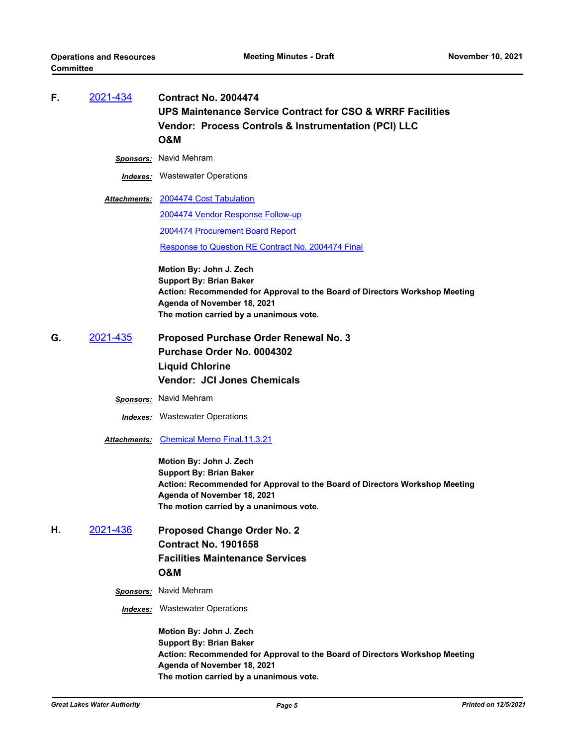| F. | 2021-434            | <b>Contract No. 2004474</b>                                                                                                                           |
|----|---------------------|-------------------------------------------------------------------------------------------------------------------------------------------------------|
|    |                     | UPS Maintenance Service Contract for CSO & WRRF Facilities                                                                                            |
|    |                     | Vendor: Process Controls & Instrumentation (PCI) LLC                                                                                                  |
|    |                     | <b>O&amp;M</b>                                                                                                                                        |
|    | <u>Sponsors:</u>    | Navid Mehram                                                                                                                                          |
|    |                     | <b>Indexes:</b> Wastewater Operations                                                                                                                 |
|    | <b>Attachments:</b> | 2004474 Cost Tabulation                                                                                                                               |
|    |                     | 2004474 Vendor Response Follow-up                                                                                                                     |
|    |                     | 2004474 Procurement Board Report                                                                                                                      |
|    |                     | Response to Question RE Contract No. 2004474 Final                                                                                                    |
|    |                     | Motion By: John J. Zech                                                                                                                               |
|    |                     | <b>Support By: Brian Baker</b><br>Action: Recommended for Approval to the Board of Directors Workshop Meeting                                         |
|    |                     | Agenda of November 18, 2021                                                                                                                           |
|    |                     | The motion carried by a unanimous vote.                                                                                                               |
| G. | 2021-435            | Proposed Purchase Order Renewal No. 3                                                                                                                 |
|    |                     | Purchase Order No. 0004302                                                                                                                            |
|    |                     | <b>Liquid Chlorine</b>                                                                                                                                |
|    |                     | <b>Vendor: JCI Jones Chemicals</b>                                                                                                                    |
|    |                     | <b>Sponsors:</b> Navid Mehram                                                                                                                         |
|    |                     | <b>Indexes:</b> Wastewater Operations                                                                                                                 |
|    | Attachments:        | <b>Chemical Memo Final.11.3.21</b>                                                                                                                    |
|    |                     | Motion By: John J. Zech                                                                                                                               |
|    |                     | <b>Support By: Brian Baker</b>                                                                                                                        |
|    |                     | Action: Recommended for Approval to the Board of Directors Workshop Meeting<br>Agenda of November 18, 2021                                            |
|    |                     | The motion carried by a unanimous vote.                                                                                                               |
| Η. | 2021-436            | <b>Proposed Change Order No. 2</b>                                                                                                                    |
|    |                     | <b>Contract No. 1901658</b>                                                                                                                           |
|    |                     | <b>Facilities Maintenance Services</b>                                                                                                                |
|    |                     | <b>O&amp;M</b>                                                                                                                                        |
|    | <b>Sponsors:</b>    | Navid Mehram                                                                                                                                          |
|    | Indexes:            | <b>Wastewater Operations</b>                                                                                                                          |
|    |                     | Motion By: John J. Zech                                                                                                                               |
|    |                     | <b>Support By: Brian Baker</b>                                                                                                                        |
|    |                     | Action: Recommended for Approval to the Board of Directors Workshop Meeting<br>Agenda of November 18, 2021<br>The motion carried by a unanimous vote. |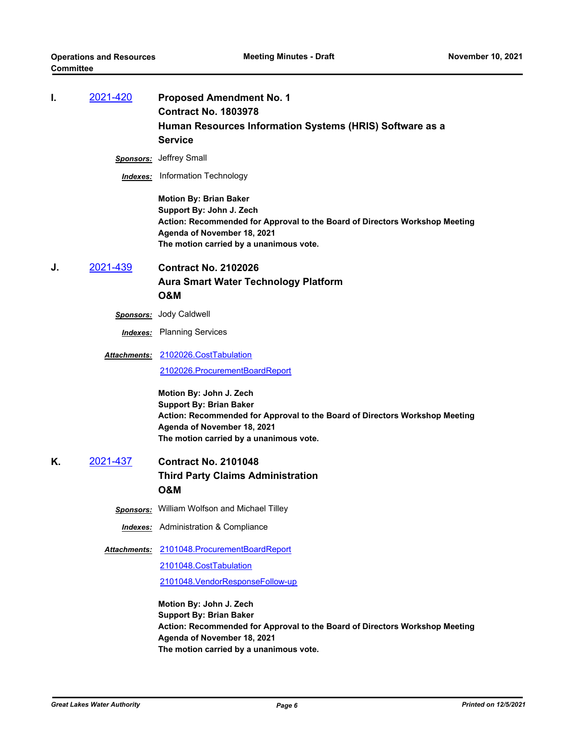| ı. | <u>2021-420</u>  | <b>Proposed Amendment No. 1</b><br><b>Contract No. 1803978</b><br>Human Resources Information Systems (HRIS) Software as a<br><b>Service</b>                                                                       |
|----|------------------|--------------------------------------------------------------------------------------------------------------------------------------------------------------------------------------------------------------------|
|    | <b>Sponsors:</b> | Jeffrey Small                                                                                                                                                                                                      |
|    |                  | <b>Indexes:</b> Information Technology                                                                                                                                                                             |
|    |                  | <b>Motion By: Brian Baker</b><br>Support By: John J. Zech<br>Action: Recommended for Approval to the Board of Directors Workshop Meeting<br>Agenda of November 18, 2021<br>The motion carried by a unanimous vote. |
| J. | 2021-439         | <b>Contract No. 2102026</b>                                                                                                                                                                                        |
|    |                  | <b>Aura Smart Water Technology Platform</b>                                                                                                                                                                        |
|    |                  | O&M                                                                                                                                                                                                                |
|    | <b>Sponsors:</b> | Jody Caldwell                                                                                                                                                                                                      |
|    |                  | <b>Indexes:</b> Planning Services                                                                                                                                                                                  |
|    |                  | Attachments: 2102026.CostTabulation                                                                                                                                                                                |
|    |                  | 2102026.ProcurementBoardReport                                                                                                                                                                                     |
|    |                  | Motion By: John J. Zech<br><b>Support By: Brian Baker</b><br>Action: Recommended for Approval to the Board of Directors Workshop Meeting<br>Agenda of November 18, 2021<br>The motion carried by a unanimous vote. |
| Κ. | 2021-437         | <b>Contract No. 2101048</b>                                                                                                                                                                                        |
|    |                  | <b>Third Party Claims Administration</b><br>O&M                                                                                                                                                                    |
|    | Sponsors:        | William Wolfson and Michael Tilley                                                                                                                                                                                 |
|    |                  | <b>Indexes:</b> Administration & Compliance                                                                                                                                                                        |
|    |                  | Attachments: 2101048.ProcurementBoardReport                                                                                                                                                                        |
|    |                  | 2101048.CostTabulation                                                                                                                                                                                             |
|    |                  | 2101048. Vendor Response Follow-up                                                                                                                                                                                 |
|    |                  | Motion By: John J. Zech<br><b>Support By: Brian Baker</b><br>Action: Recommended for Approval to the Board of Directors Workshop Meeting<br>Agenda of November 18, 2021<br>The motion carried by a unanimous vote. |